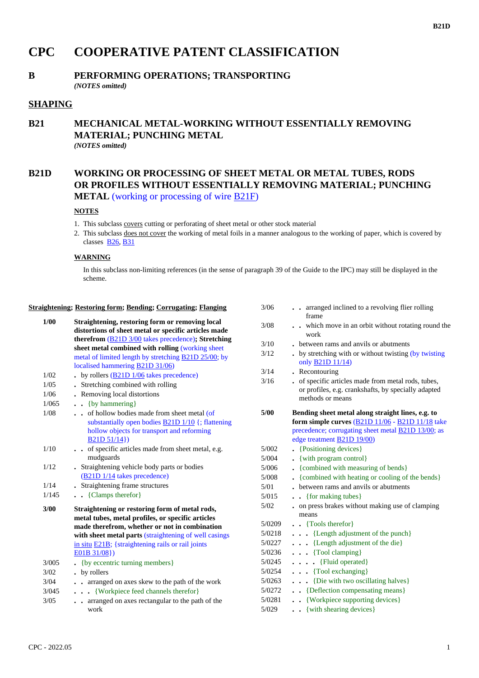### **B21D**

# **CPC COOPERATIVE PATENT CLASSIFICATION**

## **B PERFORMING OPERATIONS; TRANSPORTING**

*(NOTES omitted)*

## **SHAPING**

### **B21 MECHANICAL METAL-WORKING WITHOUT ESSENTIALLY REMOVING MATERIAL; PUNCHING METAL** *(NOTES omitted)*

## **B21D WORKING OR PROCESSING OF SHEET METAL OR METAL TUBES, RODS OR PROFILES WITHOUT ESSENTIALLY REMOVING MATERIAL; PUNCHING**

**METAL** (working or processing of wire **B21F**)

### **NOTES**

- 1. This subclass covers cutting or perforating of sheet metal or other stock material
- 2. This subclass does not cover the working of metal foils in a manner analogous to the working of paper, which is covered by classes  $B26, B31$

### **WARNING**

In this subclass non-limiting references (in the sense of paragraph 39 of the Guide to the IPC) may still be displayed in the scheme.

### **Straightening; Restoring form; Bending; Corrugating; Flanging**

| 1/00  | Straightening, restoring form or removing local<br>distortions of sheet metal or specific articles made<br>therefrom $(B21D\frac{3}{00})$ takes precedence); Stretching<br>sheet metal combined with rolling (working sheet                                                          |
|-------|--------------------------------------------------------------------------------------------------------------------------------------------------------------------------------------------------------------------------------------------------------------------------------------|
|       | metal of limited length by stretching B21D 25/00; by                                                                                                                                                                                                                                 |
|       | localised hammering <b>B21D 31/06</b> )                                                                                                                                                                                                                                              |
| 1/02  | $\bullet$ by rollers (B21D 1/06 takes precedence)                                                                                                                                                                                                                                    |
| 1/0.5 | Stretching combined with rolling                                                                                                                                                                                                                                                     |
| 1/06  | • Removing local distortions                                                                                                                                                                                                                                                         |
| 1/065 | $\bullet$ $\bullet$ {by hammering}                                                                                                                                                                                                                                                   |
| 1/08  | of hollow bodies made from sheet metal (of<br>substantially open bodies <b>B21D 1/10</b> {; flattening<br>hollow objects for transport and reforming<br>B21D 51/14                                                                                                                   |
| 1/10  | of specific articles made from sheet metal, e.g.<br>mudguards                                                                                                                                                                                                                        |
| 1/12  | . Straightening vehicle body parts or bodies<br>(B21D 1/14 takes precedence)                                                                                                                                                                                                         |
| 1/14  | • Straightening frame structures                                                                                                                                                                                                                                                     |
| 1/145 | $\bullet$ (Clamps therefor)                                                                                                                                                                                                                                                          |
| 3/00  | Straightening or restoring form of metal rods,<br>metal tubes, metal profiles, or specific articles<br>made therefrom, whether or not in combination<br>with sheet metal parts (straightening of well casings<br>in situ $E21B$ ; {straightening rails or rail joints<br>E01B 31/08) |
| 3/005 | {by eccentric turning members}                                                                                                                                                                                                                                                       |
| 3/02  | . by rollers                                                                                                                                                                                                                                                                         |
| 3/04  | arranged on axes skew to the path of the work                                                                                                                                                                                                                                        |
| 3/045 | {Workpiece feed channels therefor}<br>.                                                                                                                                                                                                                                              |
| 3/05  | arranged on axes rectangular to the path of the<br>$\ddot{\phantom{0}}$<br>work                                                                                                                                                                                                      |

| 3/06   | arranged inclined to a revolving flier rolling<br>frame                                                                      |
|--------|------------------------------------------------------------------------------------------------------------------------------|
| 3/08   | which move in an orbit without rotating round the<br>work                                                                    |
| 3/10   | between rams and anvils or abutments                                                                                         |
| 3/12   | . by stretching with or without twisting (by twisting<br>only <b>B21D 11/14</b> )                                            |
| 3/14   | . Recontouring                                                                                                               |
| 3/16   | of specific articles made from metal rods, tubes,<br>or profiles, e.g. crankshafts, by specially adapted<br>methods or means |
| 5/00   | Bending sheet metal along straight lines, e.g. to<br>form simple curves $(B21D11/06 - B21D11/18)$ take                       |
|        | precedence; corrugating sheet metal <b>B21D 13/00</b> ; as<br>edge treatment <b>B21D 19/00</b> )                             |
| 5/002  | • {Positioning devices}                                                                                                      |
| 5/004  | • {with program control}                                                                                                     |
| 5/006  | • {combined with measuring of bends}                                                                                         |
| 5/008  | . {combined with heating or cooling of the bends}                                                                            |
| 5/01   | between rams and anyils or abutments                                                                                         |
| 5/015  | • {for making tubes}                                                                                                         |
| 5/02   | on press brakes without making use of clamping<br>means                                                                      |
| 5/0209 | . Tools therefor }                                                                                                           |
| 5/0218 | $\ldots$ {Length adjustment of the punch}                                                                                    |
| 5/0227 | {Length adjustment of the die}<br>.                                                                                          |
| 5/0236 | $\cdots$ {Tool clamping}                                                                                                     |
| 5/0245 | $\cdots$ $\cdots$ {Fluid operated}                                                                                           |
| 5/0254 | $\cdots$ {Tool exchanging}                                                                                                   |
| 5/0263 | $\ldots$ {Die with two oscillating halves}                                                                                   |
| 5/0272 | {Deflection compensating means}                                                                                              |
| 5/0281 | . . {Workpiece supporting devices}                                                                                           |
| 5/029  | . . {with shearing devices}                                                                                                  |
|        |                                                                                                                              |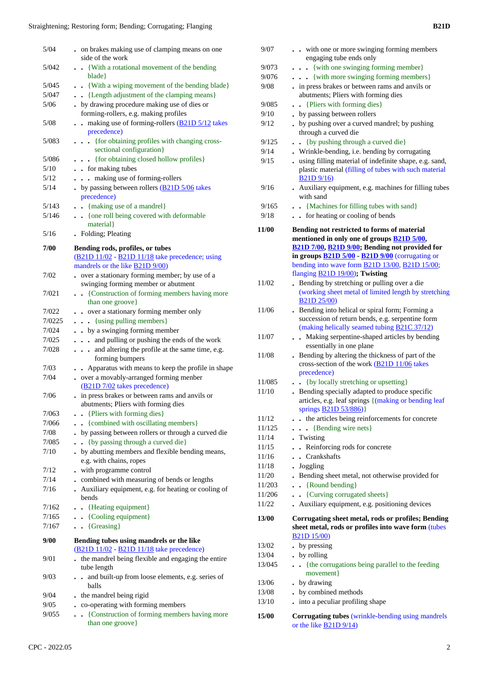| 5/042<br>5/045<br>5/047<br>5/06<br>$5/08$ | side of the work<br>. . {With a rotational movement of the bending<br>blade }<br>. . {With a wiping movement of the bending blade}<br>. {Length adjustment of the clamping means} | 9/073<br>9/076<br>9/08 | engaging tube ends only<br>. {with one swinging forming member}<br>{with more swinging forming members} |
|-------------------------------------------|-----------------------------------------------------------------------------------------------------------------------------------------------------------------------------------|------------------------|---------------------------------------------------------------------------------------------------------|
|                                           |                                                                                                                                                                                   |                        |                                                                                                         |
|                                           |                                                                                                                                                                                   |                        |                                                                                                         |
|                                           |                                                                                                                                                                                   |                        | . in press brakes or between rams and anvils or                                                         |
|                                           |                                                                                                                                                                                   |                        | abutments; Pliers with forming dies                                                                     |
|                                           | . by drawing procedure making use of dies or                                                                                                                                      | 9/085                  | . . {Pliers with forming dies}                                                                          |
|                                           | forming-rollers, e.g. making profiles                                                                                                                                             | 9/10                   | • by passing between rollers                                                                            |
|                                           | . . making use of forming-rollers (B21D 5/12 takes                                                                                                                                | 9/12                   | . by pushing over a curved mandrel; by pushing                                                          |
|                                           | precedence)                                                                                                                                                                       |                        | through a curved die                                                                                    |
| 5/083                                     | . {for obtaining profiles with changing cross-                                                                                                                                    | 9/125                  |                                                                                                         |
|                                           | sectional configuration}                                                                                                                                                          |                        | . . {by pushing through a curved die}                                                                   |
| 5/086                                     | . {for obtaining closed hollow profiles}                                                                                                                                          | 9/14                   | . Wrinkle-bending, i.e. bending by corrugating                                                          |
| $5/10$                                    | . . for making tubes                                                                                                                                                              | 9/15                   | . using filling material of indefinite shape, e.g. sa                                                   |
|                                           |                                                                                                                                                                                   |                        | plastic material (filling of tubes with such mate                                                       |
| $5/12$                                    | . making use of forming-rollers                                                                                                                                                   |                        | B21D9/16                                                                                                |
| 5/14                                      | $\cdot$ by passing between rollers ( $\underline{B21D}$ 5/06 takes                                                                                                                | 9/16                   | • Auxiliary equipment, e.g. machines for filling t                                                      |
|                                           | precedence)                                                                                                                                                                       |                        | with sand                                                                                               |
| 5/143                                     | . . {making use of a mandrel}                                                                                                                                                     | 9/165                  | . . {Machines for filling tubes with sand}                                                              |
| 5/146                                     | {one roll being covered with deformable                                                                                                                                           | 9/18                   | . . for heating or cooling of bends                                                                     |
|                                           | material }                                                                                                                                                                        | 11/00                  | Bending not restricted to forms of material                                                             |
| 5/16                                      | • Folding; Pleating                                                                                                                                                               |                        | mentioned in only one of groups <b>B21D 5/00</b> ,                                                      |
| 7/00                                      | Bending rods, profiles, or tubes                                                                                                                                                  |                        | B21D 7/00, B21D 9/00; Bending not provided fo                                                           |
|                                           | (B21D 11/02 - B21D 11/18 take precedence; using                                                                                                                                   |                        | in groups $\underline{B21D}$ 5/00 $\underline{B21D}$ 9/00 (corrugating o                                |
|                                           | mandrels or the like <b>B21D</b> 9/00)                                                                                                                                            |                        | bending into wave form <b>B21D 13/00</b> , <b>B21D 15/00</b>                                            |
| 7/02                                      | • over a stationary forming member; by use of a                                                                                                                                   |                        | flanging <b>B21D 19/00</b> ); Twisting                                                                  |
|                                           | swinging forming member or abutment                                                                                                                                               | 11/02                  | . Bending by stretching or pulling over a die                                                           |
| 7/021                                     | {Construction of forming members having more                                                                                                                                      |                        | (working sheet metal of limited length by stretc                                                        |
|                                           | than one groove}                                                                                                                                                                  |                        | <b>B21D 25/00</b>                                                                                       |
| 7/022                                     | . . over a stationary forming member only                                                                                                                                         | 11/06                  | . Bending into helical or spiral form; Forming a                                                        |
| 7/0225                                    | . {using pulling members}                                                                                                                                                         |                        | succession of return bends, e.g. serpentine form                                                        |
| 7/024                                     | . . by a swinging forming member                                                                                                                                                  |                        | (making helically seamed tubing <b>B21C 37/12</b> )                                                     |
|                                           |                                                                                                                                                                                   | 11/07                  | . Making serpentine-shaped articles by bending                                                          |
| 7/025                                     | . and pulling or pushing the ends of the work                                                                                                                                     |                        | essentially in one plane                                                                                |
| 7/028                                     | and altering the profile at the same time, e.g.                                                                                                                                   | 11/08                  | . Bending by altering the thickness of part of the                                                      |
|                                           | forming bumpers                                                                                                                                                                   |                        | cross-section of the work (B21D 11/06 takes                                                             |
| 7/03                                      | . Apparatus with means to keep the profile in shape                                                                                                                               |                        | precedence)                                                                                             |
| 7/04                                      | • over a movably-arranged forming menber                                                                                                                                          | 11/085                 | . . {by locally stretching or upsetting}                                                                |
|                                           | (B21D 7/02 takes precedence)                                                                                                                                                      | 11/10                  | . Bending specially adapted to produce specific                                                         |
| 7/06                                      | . in press brakes or between rams and anvils or                                                                                                                                   |                        | articles, e.g. leaf springs {(making or bending le                                                      |
|                                           | abutments; Pliers with forming dies                                                                                                                                               |                        | springs B21D $53/886$ }                                                                                 |
| 7/063                                     | . . {Pliers with forming dies}                                                                                                                                                    | 11/12                  | the articles being reinforcements for concrete                                                          |
| 7/066                                     | . {combined with oscillating members}                                                                                                                                             | 11/125                 | $\ldots$ {Bending wire nets}                                                                            |
| 7/08                                      | . by passing between rollers or through a curved die                                                                                                                              | 11/14                  | . Twisting                                                                                              |
| 7/085                                     | . . {by passing through a curved die}                                                                                                                                             | 11/15                  | . . Reinforcing rods for concrete                                                                       |
| 7/10                                      | . by abutting members and flexible bending means,                                                                                                                                 | 11/16                  | . . Crankshafts                                                                                         |
|                                           | e.g. with chains, ropes                                                                                                                                                           |                        |                                                                                                         |
| 7/12                                      | - with programme control                                                                                                                                                          | 11/18                  | . Joggling                                                                                              |
| 7/14                                      | . combined with measuring of bends or lengths                                                                                                                                     | 11/20                  | . Bending sheet metal, not otherwise provided fo                                                        |
| 7/16                                      | Auxiliary equipment, e.g. for heating or cooling of                                                                                                                               | 11/203                 | $\bullet$ {Round bending}                                                                               |
|                                           | bends                                                                                                                                                                             | 11/206                 | . . {Curving corrugated sheets}                                                                         |
| 7/162                                     | . . {Heating equipment}                                                                                                                                                           | 11/22                  | Auxiliary equipment, e.g. positioning devices                                                           |
| 7/165                                     | . . {Cooling equipment}                                                                                                                                                           | 13/00                  | Corrugating sheet metal, rods or profiles; Beno                                                         |
| 7/167                                     | $\bullet$ {Greasing}                                                                                                                                                              |                        | sheet metal, rods or profiles into wave form (tu                                                        |
|                                           |                                                                                                                                                                                   |                        | <b>B21D 15/00</b>                                                                                       |
| 9/00                                      | Bending tubes using mandrels or the like                                                                                                                                          | 13/02                  | • by pressing                                                                                           |
|                                           | (B21D 11/02 - B21D 11/18 take precedence)                                                                                                                                         | 13/04                  | • by rolling                                                                                            |
| 9/01                                      | . the mandrel being flexible and engaging the entire                                                                                                                              |                        |                                                                                                         |
|                                           | tube length                                                                                                                                                                       | 13/045                 | {the corrugations being parallel to the feeding                                                         |
| 9/03                                      | . . and built-up from loose elements, e.g. series of                                                                                                                              |                        | movement}                                                                                               |
|                                           | balls                                                                                                                                                                             | 13/06                  | • by drawing                                                                                            |
| 9/04                                      | . the mandrel being rigid                                                                                                                                                         | 13/08                  | • by combined methods                                                                                   |
| 9/05                                      | • co-operating with forming members                                                                                                                                               | 13/10                  | . into a peculiar profiling shape                                                                       |
|                                           |                                                                                                                                                                                   | 15/00                  | <b>Corrugating tubes</b> (wrinkle-bending using mand                                                    |
| 9/055                                     | . . {Construction of forming members having more                                                                                                                                  |                        |                                                                                                         |

|        | engaging tube ends only                                                                                                                             |
|--------|-----------------------------------------------------------------------------------------------------------------------------------------------------|
| 9/073  | . . {with one swinging forming member}                                                                                                              |
| 9/076  | {with more swinging forming members}                                                                                                                |
| 9/08   | . in press brakes or between rams and anvils or<br>abutments; Pliers with forming dies                                                              |
|        |                                                                                                                                                     |
| 9/085  | {Pliers with forming dies}                                                                                                                          |
| 9/10   | • by passing between rollers                                                                                                                        |
| 9/12   | . by pushing over a curved mandrel; by pushing<br>through a curved die                                                                              |
| 9/125  | {by pushing through a curved die}<br>$\cdot$                                                                                                        |
| 9/14   | Wrinkle-bending, i.e. bending by corrugating                                                                                                        |
| 9/15   | . using filling material of indefinite shape, e.g. sand,<br>plastic material (filling of tubes with such material                                   |
|        | <b>B21D</b> 9/16)                                                                                                                                   |
| 9/16   | Auxiliary equipment, e.g. machines for filling tubes                                                                                                |
|        | with sand                                                                                                                                           |
| 9/165  | . . {Machines for filling tubes with sand}                                                                                                          |
| 9/18   | . . for heating or cooling of bends                                                                                                                 |
| 11/00  | Bending not restricted to forms of material<br>mentioned in only one of groups <b>B21D 5/00</b> ,<br>B21D 7/00, B21D 9/00; Bending not provided for |
|        | in groups $\underline{B21D}$ 5/00 - $\underline{B21D}$ 9/00 (corrugating or                                                                         |
|        | bending into wave form <b>B21D 13/00</b> , <b>B21D 15/00</b> ;                                                                                      |
|        | flanging <b>B21D 19/00</b> ); Twisting                                                                                                              |
| 11/02  | Bending by stretching or pulling over a die                                                                                                         |
|        | (working sheet metal of limited length by stretching                                                                                                |
|        | B <sub>21</sub> D <sub>25</sub> /00)                                                                                                                |
| 11/06  | . Bending into helical or spiral form; Forming a<br>succession of return bends, e.g. serpentine form                                                |
|        | (making helically seamed tubing <b>B21C 37/12</b> )                                                                                                 |
| 11/07  | . Making serpentine-shaped articles by bending                                                                                                      |
|        | essentially in one plane                                                                                                                            |
| 11/08  | . Bending by altering the thickness of part of the                                                                                                  |
|        | cross-section of the work (B21D 11/06 takes                                                                                                         |
|        | precedence)                                                                                                                                         |
| 11/085 | {by locally stretching or upsetting}<br>$\ddot{\phantom{a}}$                                                                                        |
| 11/10  | Bending specially adapted to produce specific                                                                                                       |
|        | articles, e.g. leaf springs {(making or bending leaf                                                                                                |
|        | springs <b>B21D 53/886</b> )}                                                                                                                       |
| 11/12  | . the articles being reinforcements for concrete                                                                                                    |
| 11/125 | • {Bending wire nets}<br>$\ddot{\phantom{a}}$                                                                                                       |
| 11/14  | Twisting                                                                                                                                            |
| 11/15  | Reinforcing rods for concrete                                                                                                                       |
| 11/16  | Crankshafts                                                                                                                                         |
| 11/18  | Joggling                                                                                                                                            |
| 11/20  | Bending sheet metal, not otherwise provided for                                                                                                     |
| 11/203 | $\bullet$ {Round bending}                                                                                                                           |
| 11/206 | . {Curving corrugated sheets}                                                                                                                       |
| 11/22  | Auxiliary equipment, e.g. positioning devices                                                                                                       |
|        |                                                                                                                                                     |
| 13/00  | Corrugating sheet metal, rods or profiles; Bending<br>sheet metal, rods or profiles into wave form (tubes<br>B <sub>21</sub> D <sub>15</sub> /00    |
| 13/02  | by pressing                                                                                                                                         |
| 13/04  | . by rolling                                                                                                                                        |
| 13/045 | {the corrugations being parallel to the feeding<br>movement }                                                                                       |
| 13/06  | . by drawing                                                                                                                                        |
| 13/08  | . by combined methods                                                                                                                               |
| 13/10  | into a peculiar profiling shape                                                                                                                     |
|        |                                                                                                                                                     |
| 15/00  | Corrugating tubes (wrinkle-bending using mandrels<br>or the like $\underline{B21D9/14}$                                                             |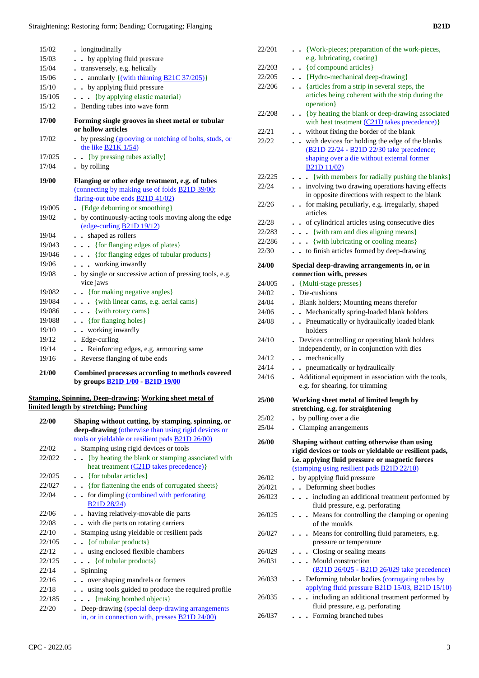| 15/02  | • longitudinally                                                                                  |
|--------|---------------------------------------------------------------------------------------------------|
| 15/03  | • by applying fluid pressure                                                                      |
| 15/04  | transversely, e.g. helically                                                                      |
| 15/06  | annularly {(with thinning B21C 37/205)}<br>$\ddot{\phantom{0}}$                                   |
| 15/10  | . . by applying fluid pressure                                                                    |
| 15/105 | {by applying elastic material}<br>$\ddot{\phantom{0}}$                                            |
| 15/12  | Bending tubes into wave form                                                                      |
| 17/00  | Forming single grooves in sheet metal or tubular<br>or hollow articles                            |
| 17/02  | . by pressing (grooving or notching of bolts, studs, or<br>the like $B21K1/54$                    |
| 17/025 | $\bullet$ $\bullet$ {by pressing tubes axially}                                                   |
| 17/04  | . by rolling                                                                                      |
| 19/00  | Flanging or other edge treatment, e.g. of tubes                                                   |
|        | (connecting by making use of folds <b>B21D 39/00</b> ;                                            |
|        | flaring-out tube ends <b>B21D 41/02</b> )                                                         |
| 19/005 | {Edge deburring or smoothing}                                                                     |
| 19/02  | . by continuously-acting tools moving along the edge                                              |
|        | (edge-curling B21D 19/12)                                                                         |
| 19/04  | shaped as rollers                                                                                 |
| 19/043 | {for flanging edges of plates}                                                                    |
| 19/046 | {for flanging edges of tubular products}                                                          |
| 19/06  | . working inwardly                                                                                |
| 19/08  | by single or successive action of pressing tools, e.g.<br>vice jaws                               |
| 19/082 | . {for making negative angles}                                                                    |
| 19/084 | {with linear cams, e.g. aerial cams}                                                              |
| 19/086 | . {with rotary cams}                                                                              |
| 19/088 | . { for flanging holes}                                                                           |
| 19/10  | • working inwardly                                                                                |
| 19/12  | . Edge-curling                                                                                    |
| 19/14  | . Reinforcing edges, e.g. armouring same                                                          |
| 19/16  | Reverse flanging of tube ends                                                                     |
| 21/00  | Combined processes according to methods covered<br>by groups <b>B21D 1/00</b> - <b>B21D 19/00</b> |

#### **Stamping, Spinning, Deep-drawing; Working sheet metal of limited length by stretching; Punching**

| 22/00  | Shaping without cutting, by stamping, spinning, or<br><b>deep-drawing</b> (otherwise than using rigid devices or |
|--------|------------------------------------------------------------------------------------------------------------------|
|        | tools or yieldable or resilient pads B21D 26/00)                                                                 |
| 22/02  | . Stamping using rigid devices or tools                                                                          |
| 22/022 | { by heating the blank or stamping associated with                                                               |
|        | heat treatment (C21D takes precedence) }                                                                         |
| 22/025 | $\bullet$ $\bullet$ {for tubular articles}                                                                       |
| 22/027 | {for flattening the ends of corrugated sheets}                                                                   |
| 22/04  | for dimpling (combined with perforating                                                                          |
|        | B21D 28/24)                                                                                                      |
| 22/06  | having relatively-movable die parts                                                                              |
| 22/08  | with die parts on rotating carriers                                                                              |
| 22/10  | . Stamping using yieldable or resilient pads                                                                     |
| 22/105 | $\bullet$ $\bullet$ { of tubular products}                                                                       |
| 22/12  | using enclosed flexible chambers                                                                                 |
| 22/125 | $\ldots$ { of tubular products}                                                                                  |
| 22/14  | . Spinning                                                                                                       |
| 22/16  | over shaping mandrels or formers                                                                                 |
| 22/18  | using tools guided to produce the required profile                                                               |
| 22/185 | {making bombed objects}                                                                                          |
| 22/20  | . Deep-drawing (special deep-drawing arrangements                                                                |
|        | in, or in connection with, presses <b>B21D 24/00</b> )                                                           |

| 22/201 | • · {Work-pieces; preparation of the work-pieces,<br>e.g. lubricating, coating}                                                                           |
|--------|-----------------------------------------------------------------------------------------------------------------------------------------------------------|
| 22/203 | {of compound articles}<br>$\ddot{\phantom{0}}$                                                                                                            |
| 22/205 | . . {Hydro-mechanical deep-drawing}                                                                                                                       |
| 22/206 | . {articles from a strip in several steps, the                                                                                                            |
|        | articles being coherent with the strip during the<br>operation}                                                                                           |
| 22/208 | • {by heating the blank or deep-drawing associated<br>with heat treatment (C21D takes precedence)}                                                        |
| 22/21  | . without fixing the border of the blank                                                                                                                  |
| 22/22  | with devices for holding the edge of the blanks                                                                                                           |
|        | (B21D 22/24 - B21D 22/30 take precedence;<br>shaping over a die without external former<br>B <sub>21</sub> D <sub>11</sub> /02)                           |
| 22/225 | {with members for radially pushing the blanks}                                                                                                            |
| 22/24  | involving two drawing operations having effects<br>$\ddot{\phantom{0}}$<br>in opposite directions with respect to the blank                               |
| 22/26  | for making peculiarly, e.g. irregularly, shaped<br>$\ddot{\phantom{a}}$<br>articles                                                                       |
| 22/28  | of cylindrical articles using consecutive dies<br>$\ddot{\phantom{0}}$                                                                                    |
| 22/283 | {with ram and dies aligning means}<br>.                                                                                                                   |
| 22/286 | {with lubricating or cooling means}<br>$\cdots$                                                                                                           |
| 22/30  | . . to finish articles formed by deep-drawing                                                                                                             |
| 24/00  | Special deep-drawing arrangements in, or in<br>connection with, presses                                                                                   |
| 24/005 | • {Multi-stage presses}                                                                                                                                   |
| 24/02  | Die-cushions                                                                                                                                              |
| 24/04  | Blank holders; Mounting means therefor                                                                                                                    |
| 24/06  | . Mechanically spring-loaded blank holders                                                                                                                |
| 24/08  | . Pneumatically or hydraulically loaded blank<br>holders                                                                                                  |
| 24/10  | Devices controlling or operating blank holders<br>independently, or in conjunction with dies                                                              |
| 24/12  | . . mechanically                                                                                                                                          |
| 24/14  | . . pneumatically or hydraulically                                                                                                                        |
| 24/16  | Additional equipment in association with the tools,<br>e.g. for shearing, for trimming                                                                    |
| 25/00  | Working sheet metal of limited length by<br>stretching, e.g. for straightening                                                                            |
| 25/02  | . by pulling over a die                                                                                                                                   |
| 25/04  | . Clamping arrangements                                                                                                                                   |
| 26/00  | Shaping without cutting otherwise than using<br>rigid devices or tools or yieldable or resilient pads,<br>i.e. applying fluid pressure or magnetic forces |
|        | (stamping using resilient pads <b>B21D 22/10</b> )                                                                                                        |
| 26/02  | by applying fluid pressure                                                                                                                                |
| 26/021 | . Deforming sheet bodies                                                                                                                                  |
| 26/023 | including an additional treatment performed by<br>fluid pressure, e.g. perforating                                                                        |
| 26/025 | Means for controlling the clamping or opening                                                                                                             |
| 26/027 | $\ddot{\phantom{a}}$<br>of the moulds                                                                                                                     |
|        | • Means for controlling fluid parameters, e.g.<br>pressure or temperature                                                                                 |
| 26/029 | . Closing or sealing means                                                                                                                                |
| 26/031 | . Mould construction<br>(B21D 26/025 - B21D 26/029 take precedence)                                                                                       |
| 26/033 | • Deforming tubular bodies (corrugating tubes by<br>applying fluid pressure <b>B21D 15/03</b> , <b>B21D 15/10</b> )                                       |
| 26/035 | . including an additional treatment performed by<br>fluid pressure, e.g. perforating                                                                      |
| 26/037 | . Forming branched tubes                                                                                                                                  |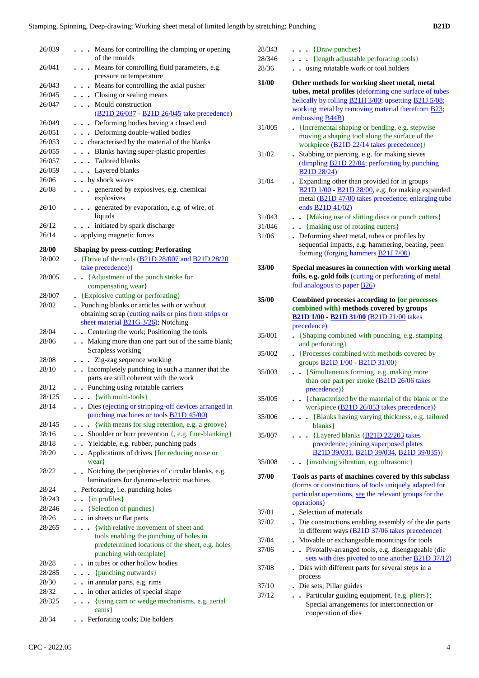| 26/039 | Means for controlling the clamping or opening                                                 | 28/343 | $\ldots$ {Draw punches}                                                                                |
|--------|-----------------------------------------------------------------------------------------------|--------|--------------------------------------------------------------------------------------------------------|
|        | of the moulds                                                                                 | 28/346 | . {length adjustable perforating tools}                                                                |
| 26/041 | . Means for controlling fluid parameters, e.g.                                                | 28/36  | . . using rotatable work or tool holders                                                               |
|        | pressure or temperature                                                                       | 31/00  | Other methods for working sheet metal, metal                                                           |
| 26/043 | . Means for controlling the axial pusher                                                      |        | tubes, metal profiles (deforming one surface of tubes                                                  |
| 26/045 | . Closing or sealing means                                                                    |        | helically by rolling <b>B21H 3/00</b> ; upsetting <b>B21J 5/08</b> ;                                   |
| 26/047 | Mould construction<br>(B21D 26/037 - B21D 26/045 take precedence)                             |        | working metal by removing material therefrom <b>B23</b> ;<br>embossing <b>B44B</b> )                   |
| 26/049 | . Deforming bodies having a closed end                                                        | 31/005 | • {Incremental shaping or bending, e.g. stepwise                                                       |
| 26/051 | . Deforming double-walled bodies                                                              |        | moving a shaping tool along the surface of the                                                         |
| 26/053 | . . characterised by the material of the blanks                                               |        | workpiece (B21D 22/14 takes precedence)}                                                               |
| 26/055 | . Blanks having super-plastic properties                                                      | 31/02  | . Stabbing or piercing, e.g. for making sieves                                                         |
| 26/057 | . Tailored blanks                                                                             |        | (dimpling B21D 22/04; perforating by punching                                                          |
| 26/059 | . Layered blanks                                                                              |        | B <sub>21</sub> D <sub>28</sub> /24)                                                                   |
| 26/06  | . . by shock waves                                                                            | 31/04  | . Expanding other than provided for in groups                                                          |
| 26/08  | . generated by explosives, e.g. chemical<br>explosives                                        |        | B21D 1/00 - B21D 28/00, e.g. for making expanded<br>metal (B21D 47/00 takes precedence; enlarging tube |
| 26/10  | . generated by evaporation, e.g. of wire, of                                                  |        | ends <b>B21D 41/02</b> )                                                                               |
|        | liquids                                                                                       | 31/043 | . . {Making use of slitting discs or punch cutters}                                                    |
| 26/12  | . initiated by spark discharge                                                                | 31/046 | . {making use of rotating cutters}                                                                     |
| 26/14  | • applying magnetic forces                                                                    | 31/06  | . Deforming sheet metal, tubes or profiles by                                                          |
| 28/00  | <b>Shaping by press-cutting; Perforating</b>                                                  |        | sequential impacts, e.g. hammering, beating, peen                                                      |
| 28/002 | . {Drive of the tools $\underline{(B21D 28/007)}$ and $\underline{B21D 28/20}$                |        | forming (forging hammers B21J 7/00)                                                                    |
|        | take precedence) }                                                                            | 33/00  | Special measures in connection with working metal                                                      |
| 28/005 | . Adjustment of the punch stroke for                                                          |        | foils, e.g. gold foils (cutting or perforating of metal                                                |
|        | compensating wear}                                                                            |        | foil analogous to paper $\underline{B26}$                                                              |
| 28/007 | • {Explosive cutting or perforating}                                                          |        |                                                                                                        |
| 28/02  | . Punching blanks or articles with or without                                                 | 35/00  | Combined processes according to {or processes                                                          |
|        | obtaining scrap (cutting nails or pins from strips or                                         |        | combined with} methods covered by groups<br><b>B21D 1/00 B21D 31/00 (B21D 21/00 takes)</b>             |
|        | sheet material <b>B21G</b> 3/26); Notching                                                    |        | precedence)                                                                                            |
| 28/04  | . Centering the work; Positioning the tools                                                   | 35/001 | • {Shaping combined with punching, e.g. stamping                                                       |
| 28/06  | . Making more than one part out of the same blank;                                            |        | and perforating }                                                                                      |
|        | Scrapless working                                                                             | 35/002 | • {Processes combined with methods covered by                                                          |
| 28/08  | . Zig-zag sequence working                                                                    |        | groups <b>B21D 1/00</b> - <b>B21D 31/00</b> }                                                          |
| 28/10  | . Incompletely punching in such a manner that the                                             | 35/003 | . . {Simultaneous forming, e.g. making more                                                            |
|        | parts are still coherent with the work                                                        |        | than one part per stroke (B21D 26/06 takes                                                             |
| 28/12  | . . Punching using rotatable carriers                                                         |        | precedence) }                                                                                          |
| 28/125 | $\cdots$ {with multi-tools}                                                                   | 35/005 | {characterized by the material of the blank or the                                                     |
| 28/14  | Dies (ejecting or stripping-off devices arranged in                                           |        | workpiece (B21D 26/053 takes precedence) }                                                             |
|        | punching machines or tools <b>B21D 45/00</b> )                                                | 35/006 | . {Blanks having varying thickness, e.g. tailored                                                      |
| 28/145 | . {with means for slug retention, e.g. a groove}                                              |        | blanks }                                                                                               |
| 28/16  | Shoulder or burr prevention {, e.g. fine-blanking}                                            | 35/007 | . {Layered blanks (B21D 22/203 takes                                                                   |
| 28/18  | . Yieldable, e.g. rubber, punching pads                                                       |        | precedence; joining superposed plates                                                                  |
| 28/20  | Applications of drives {for reducing noise or                                                 |        | B21D 39/031, B21D 39/034, B21D 39/035)}                                                                |
|        | wear }                                                                                        | 35/008 | . {involving vibration, e.g. ultrasonic}                                                               |
| 28/22  | Notching the peripheries of circular blanks, e.g.<br>laminations for dynamo-electric machines | 37/00  | Tools as parts of machines covered by this subclass                                                    |
| 28/24  | . Perforating, i.e. punching holes                                                            |        | (forms or constructions of tools uniquely adapted for                                                  |
| 28/243 | $\bullet$ {in profiles}                                                                       |        | particular operations, see the relevant groups for the                                                 |
| 28/246 | . . {Selection of punches}                                                                    |        | operations)                                                                                            |
| 28/26  | . . in sheets or flat parts                                                                   | 37/01  | . Selection of materials                                                                               |
| 28/265 | . {with relative movement of sheet and                                                        | 37/02  | . Die constructions enabling assembly of the die parts                                                 |
|        | tools enabling the punching of holes in                                                       |        | in different ways (B21D 37/06 takes precedence)                                                        |
|        | predetermined locations of the sheet, e.g. holes                                              | 37/04  | . Movable or exchangeable mountings for tools                                                          |
|        | punching with template}                                                                       | 37/06  | . . Pivotally-arranged tools, e.g. disengageable (die                                                  |
| 28/28  | . . in tubes or other hollow bodies                                                           |        | sets with dies pivoted to one another <b>B21D 37/12</b> )                                              |
| 28/285 | {punching outwards}                                                                           | 37/08  | . Dies with different parts for several steps in a                                                     |
| 28/30  | . . in annular parts, e.g. rims                                                               |        | process                                                                                                |
| 28/32  | . . in other articles of special shape                                                        | 37/10  | . Die sets; Pillar guides                                                                              |
| 28/325 | . {using cam or wedge mechanisms, e.g. aerial                                                 | 37/12  | . Particular guiding equipment, {e.g. pliers};                                                         |
|        | cams                                                                                          |        | Special arrangements for interconnection or<br>cooperation of dies                                     |
| 28/34  | . Perforating tools; Die holders                                                              |        |                                                                                                        |
|        |                                                                                               |        |                                                                                                        |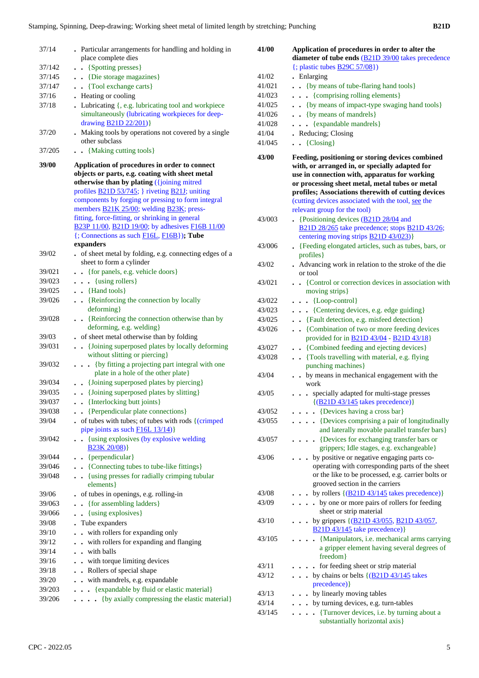| 37/14  | . Particular arrangements for handling and holding in<br>place complete dies                                                                                                                                                                                                                                                                                     | 41/00  | Application of procedures in order to alter the<br>diameter of tube ends (B21D 39/00 takes precedence                                                                                                                                                                                                                                               |
|--------|------------------------------------------------------------------------------------------------------------------------------------------------------------------------------------------------------------------------------------------------------------------------------------------------------------------------------------------------------------------|--------|-----------------------------------------------------------------------------------------------------------------------------------------------------------------------------------------------------------------------------------------------------------------------------------------------------------------------------------------------------|
| 37/142 | . . {Spotting presses}                                                                                                                                                                                                                                                                                                                                           |        | $\{$ ; plastic tubes $\underline{B29C}$ 57/08})                                                                                                                                                                                                                                                                                                     |
| 37/145 | . . {Die storage magazines}                                                                                                                                                                                                                                                                                                                                      | 41/02  | • Enlarging                                                                                                                                                                                                                                                                                                                                         |
| 37/147 | . Tool exchange carts }                                                                                                                                                                                                                                                                                                                                          | 41/021 | . . {by means of tube-flaring hand tools}                                                                                                                                                                                                                                                                                                           |
| 37/16  | • Heating or cooling                                                                                                                                                                                                                                                                                                                                             | 41/023 | . {comprising rolling elements}                                                                                                                                                                                                                                                                                                                     |
| 37/18  | . Lubricating {, e.g. lubricating tool and workpiece                                                                                                                                                                                                                                                                                                             | 41/025 | {by means of impact-type swaging hand tools}                                                                                                                                                                                                                                                                                                        |
|        | simultaneously (lubricating workpieces for deep-                                                                                                                                                                                                                                                                                                                 | 41/026 | . . {by means of mandrels}                                                                                                                                                                                                                                                                                                                          |
|        | drawing <b>B21D 22/201</b> )}                                                                                                                                                                                                                                                                                                                                    | 41/028 | $\ldots$ {expandable mandrels}                                                                                                                                                                                                                                                                                                                      |
| 37/20  | . Making tools by operations not covered by a single                                                                                                                                                                                                                                                                                                             | 41/04  | . Reducing; Closing                                                                                                                                                                                                                                                                                                                                 |
| 37/205 | other subclass                                                                                                                                                                                                                                                                                                                                                   | 41/045 | $\bullet$ $\bullet$ {Closing}                                                                                                                                                                                                                                                                                                                       |
| 39/00  | . . {Making cutting tools}<br>Application of procedures in order to connect<br>objects or parts, e.g. coating with sheet metal<br>otherwise than by plating ({joining mitred<br>profiles <b>B21D 53/745</b> ; } riveting <b>B21J</b> ; uniting<br>components by forging or pressing to form integral<br>members <b>B21K 25/00</b> ; welding <b>B23K</b> ; press- | 43/00  | Feeding, positioning or storing devices combined<br>with, or arranged in, or specially adapted for<br>use in connection with, apparatus for working<br>or processing sheet metal, metal tubes or metal<br>profiles; Associations therewith of cutting devices<br>(cutting devices associated with the tool, see the<br>relevant group for the tool) |
|        | fitting, force-fitting, or shrinking in general                                                                                                                                                                                                                                                                                                                  | 43/003 | • {Positioning devices $\underline{(B21D 28/04]}$ and                                                                                                                                                                                                                                                                                               |
|        | B23P 11/00, B21D 19/00; by adhesives F16B 11/00<br>$\{$ ; Connections as such $F16L, F16B\}$ ); Tube                                                                                                                                                                                                                                                             |        | B21D 28/265 take precedence; stops B21D 43/26;<br>centering moving strips <b>B21D 43/023</b> )}                                                                                                                                                                                                                                                     |
|        | expanders                                                                                                                                                                                                                                                                                                                                                        | 43/006 | . {Feeding elongated articles, such as tubes, bars, or                                                                                                                                                                                                                                                                                              |
| 39/02  | . of sheet metal by folding, e.g. connecting edges of a                                                                                                                                                                                                                                                                                                          |        | profiles }                                                                                                                                                                                                                                                                                                                                          |
|        | sheet to form a cylinder                                                                                                                                                                                                                                                                                                                                         | 43/02  | . Advancing work in relation to the stroke of the die                                                                                                                                                                                                                                                                                               |
| 39/021 | . {for panels, e.g. vehicle doors}                                                                                                                                                                                                                                                                                                                               |        | or tool                                                                                                                                                                                                                                                                                                                                             |
| 39/023 | . {using rollers}                                                                                                                                                                                                                                                                                                                                                | 43/021 | • • {Control or correction devices in association with                                                                                                                                                                                                                                                                                              |
| 39/025 | $\bullet$ $\bullet$ {Hand tools}                                                                                                                                                                                                                                                                                                                                 |        | moving strips}                                                                                                                                                                                                                                                                                                                                      |
| 39/026 | . . {Reinforcing the connection by locally                                                                                                                                                                                                                                                                                                                       | 43/022 | . {Loop-control}                                                                                                                                                                                                                                                                                                                                    |
|        | deforming }                                                                                                                                                                                                                                                                                                                                                      | 43/023 | . {Centering devices, e.g. edge guiding}                                                                                                                                                                                                                                                                                                            |
| 39/028 | . {Reinforcing the connection otherwise than by                                                                                                                                                                                                                                                                                                                  | 43/025 | . . {Fault detection, e.g. misfeed detection}                                                                                                                                                                                                                                                                                                       |
|        | deforming, e.g. welding}                                                                                                                                                                                                                                                                                                                                         | 43/026 | . . {Combination of two or more feeding devices                                                                                                                                                                                                                                                                                                     |
| 39/03  | . of sheet metal otherwise than by folding                                                                                                                                                                                                                                                                                                                       |        | provided for in <b>B21D 43/04</b> - <b>B21D 43/18</b> }                                                                                                                                                                                                                                                                                             |
| 39/031 | . {Joining superposed plates by locally deforming                                                                                                                                                                                                                                                                                                                | 43/027 | . {Combined feeding and ejecting devices}                                                                                                                                                                                                                                                                                                           |
|        | without slitting or piercing}<br>{by fitting a projecting part integral with one                                                                                                                                                                                                                                                                                 | 43/028 | . Tools travelling with material, e.g. flying                                                                                                                                                                                                                                                                                                       |
| 39/032 | plate in a hole of the other plate}                                                                                                                                                                                                                                                                                                                              |        | punching machines}                                                                                                                                                                                                                                                                                                                                  |
| 39/034 | . . {Joining superposed plates by piercing}                                                                                                                                                                                                                                                                                                                      | 43/04  | by means in mechanical engagement with the                                                                                                                                                                                                                                                                                                          |
| 39/035 | . . {Joining superposed plates by slitting}                                                                                                                                                                                                                                                                                                                      | 43/05  | work                                                                                                                                                                                                                                                                                                                                                |
| 39/037 | {Interlocking butt joints}                                                                                                                                                                                                                                                                                                                                       |        | . specially adapted for multi-stage presses<br>$\{(B21D43/145 \text{ takes precedence})\}$                                                                                                                                                                                                                                                          |
| 39/038 | . . {Perpendicular plate connections}                                                                                                                                                                                                                                                                                                                            | 43/052 | $\ldots$ [Devices having a cross bar]                                                                                                                                                                                                                                                                                                               |
| 39/04  | of tubes with tubes; of tubes with rods {(crimped                                                                                                                                                                                                                                                                                                                | 43/055 | . {Devices comprising a pair of longitudinally                                                                                                                                                                                                                                                                                                      |
|        | pipe joints as such F16L 13/14)}                                                                                                                                                                                                                                                                                                                                 |        | and laterally movable parallel transfer bars}                                                                                                                                                                                                                                                                                                       |
| 39/042 | . {using explosives (by explosive welding<br>$B23K 20/08$ }                                                                                                                                                                                                                                                                                                      | 43/057 | . {Devices for exchanging transfer bars or<br>grippers; Idle stages, e.g. exchangeable}                                                                                                                                                                                                                                                             |
| 39/044 | . . {perpendicular}                                                                                                                                                                                                                                                                                                                                              | 43/06  | by positive or negative engaging parts co-                                                                                                                                                                                                                                                                                                          |
| 39/046 | . {Connecting tubes to tube-like fittings}                                                                                                                                                                                                                                                                                                                       |        | operating with corresponding parts of the sheet                                                                                                                                                                                                                                                                                                     |
| 39/048 | . {using presses for radially crimping tubular                                                                                                                                                                                                                                                                                                                   |        | or the like to be processed, e.g. carrier bolts or                                                                                                                                                                                                                                                                                                  |
|        | elements }                                                                                                                                                                                                                                                                                                                                                       |        | grooved section in the carriers                                                                                                                                                                                                                                                                                                                     |
| 39/06  | . of tubes in openings, e.g. rolling-in                                                                                                                                                                                                                                                                                                                          | 43/08  | $\ldots$ by rollers { $(B21D 43/145$ takes precedence)}                                                                                                                                                                                                                                                                                             |
| 39/063 | . {for assembling ladders}                                                                                                                                                                                                                                                                                                                                       | 43/09  | . by one or more pairs of rollers for feeding                                                                                                                                                                                                                                                                                                       |
| 39/066 | . . {using explosives}                                                                                                                                                                                                                                                                                                                                           |        | sheet or strip material                                                                                                                                                                                                                                                                                                                             |
| 39/08  | . Tube expanders                                                                                                                                                                                                                                                                                                                                                 | 43/10  | . by grippers $\{(\underline{B21D43}/055, \underline{B21D43}/057,$                                                                                                                                                                                                                                                                                  |
| 39/10  | . . with rollers for expanding only                                                                                                                                                                                                                                                                                                                              |        | B <sub>21</sub> D <sub>43</sub> /145 take precedence) }                                                                                                                                                                                                                                                                                             |
| 39/12  | . . with rollers for expanding and flanging                                                                                                                                                                                                                                                                                                                      | 43/105 | . {Manipulators, i.e. mechanical arms carrying<br>a gripper element having several degrees of                                                                                                                                                                                                                                                       |
| 39/14  | . . with balls                                                                                                                                                                                                                                                                                                                                                   |        | freedom}                                                                                                                                                                                                                                                                                                                                            |
| 39/16  | . . with torque limiting devices                                                                                                                                                                                                                                                                                                                                 | 43/11  | . for feeding sheet or strip material                                                                                                                                                                                                                                                                                                               |
| 39/18  | . Rollers of special shape                                                                                                                                                                                                                                                                                                                                       | 43/12  | . by chains or belts {(B21D 43/145 takes)                                                                                                                                                                                                                                                                                                           |
| 39/20  | . . with mandrels, e.g. expandable                                                                                                                                                                                                                                                                                                                               |        | precedence) }                                                                                                                                                                                                                                                                                                                                       |
| 39/203 | . {expandable by fluid or elastic material}                                                                                                                                                                                                                                                                                                                      | 43/13  | . by linearly moving tables                                                                                                                                                                                                                                                                                                                         |
| 39/206 | . {by axially compressing the elastic material}                                                                                                                                                                                                                                                                                                                  | 43/14  | . by turning devices, e.g. turn-tables                                                                                                                                                                                                                                                                                                              |
|        |                                                                                                                                                                                                                                                                                                                                                                  | 43/145 | . {Turnover devices, i.e. by turning about a                                                                                                                                                                                                                                                                                                        |
|        |                                                                                                                                                                                                                                                                                                                                                                  |        | substantially horizontal axis}                                                                                                                                                                                                                                                                                                                      |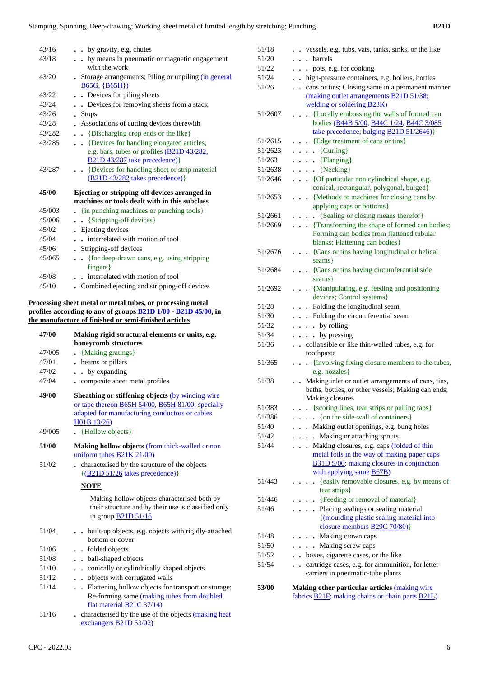| 43/16  | . . by gravity, e.g. chutes                                                                           |
|--------|-------------------------------------------------------------------------------------------------------|
| 43/18  | . . by means in pneumatic or magnetic engagement<br>with the work                                     |
| 43/20  | • Storage arrangements; Piling or unpiling (in general<br>$B65G, {B65H}$                              |
| 43/22  | . Devices for piling sheets                                                                           |
| 43/24  | • Devices for removing sheets from a stack                                                            |
| 43/26  | <b>Stops</b>                                                                                          |
| 43/28  | Associations of cutting devices therewith                                                             |
| 43/282 | {Discharging crop ends or the like}<br>$\ddotsc$                                                      |
| 43/285 | {Devices for handling elongated articles,                                                             |
|        | e.g. bars, tubes or profiles (B21D 43/282,<br>B <sub>21</sub> D <sub>43</sub> /287 take precedence) } |
| 43/287 | {Devices for handling sheet or strip material<br>$(B21D 43/282$ takes precedence) }                   |
| 45/00  | Ejecting or stripping-off devices arranged in<br>machines or tools dealt with in this subclass        |
| 45/003 | . {in punching machines or punching tools}                                                            |
| 45/006 | . . {Stripping-off devices}                                                                           |
| 45/02  | . Ejecting devices                                                                                    |
| 45/04  | interrelated with motion of tool<br>$\ddot{\phantom{a}}$                                              |
| 45/06  | . Stripping-off devices                                                                               |
| 45/065 | {for deep-drawn cans, e.g. using stripping<br>$\ddot{\phantom{a}}$<br>$fingers$ }                     |
| 45/08  | interrelated with motion of tool<br>$\mathbf{A}^{\mathbf{r}}$                                         |
| 45/10  | Combined ejecting and stripping-off devices                                                           |
|        | Processing sheet metal or metal tubes, or processing metal                                            |
|        | profiles according to any of groups <b>B21D 1/00 - B21D 45/00</b> , in                                |
|        | the manufacture of finished or semi-finished articles                                                 |
| 47/00  | Making rigid structural elements or units, e.g.                                                       |

|             | ramma right bu ucturur cicinento or unitor                                                                                                                                             |  |  |
|-------------|----------------------------------------------------------------------------------------------------------------------------------------------------------------------------------------|--|--|
|             | honeycomb structures                                                                                                                                                                   |  |  |
| 47/005      | . {Making gratings}                                                                                                                                                                    |  |  |
| 47/01       | beams or pillars                                                                                                                                                                       |  |  |
| 47/02       | • by expanding                                                                                                                                                                         |  |  |
| 47/04       | - composite sheet metal profiles                                                                                                                                                       |  |  |
| 49/00       | Sheathing or stiffening objects (by winding wire<br>or tape thereon <b>B65H 54/00</b> , <b>B65H 81/00</b> ; specially<br>adapted for manufacturing conductors or cables<br>H01B 13/26) |  |  |
| 49/005      | • {Hollow objects}                                                                                                                                                                     |  |  |
| 51/00       | <b>Making hollow objects (from thick-walled or non</b><br>uniform tubes $B21K 21/00$                                                                                                   |  |  |
| 51/02       | characterised by the structure of the objects<br>$\{(B21D 51/26 \text{ takes precedence})\}$                                                                                           |  |  |
| <b>NOTE</b> |                                                                                                                                                                                        |  |  |
|             | Making hollow objects characterised both by<br>their structure and by their use is classified only<br>in group $\underline{B21D}$ 51/16                                                |  |  |
| 51/04       | built-up objects, e.g. objects with rigidly-attached<br>bottom or cover                                                                                                                |  |  |
| 51/06       | . . folded objects                                                                                                                                                                     |  |  |
| 51/08       | • ball-shaped objects                                                                                                                                                                  |  |  |
| 51/10       | conically or cylindrically shaped objects<br>$\ddot{\phantom{a}}$                                                                                                                      |  |  |
| 51/12       | . . objects with corrugated walls                                                                                                                                                      |  |  |
| 51/14       | . Flattening hollow objects for transport or storage;<br>Re-forming same (making tubes from doubled<br>flat material <b>B21C</b> 37/14)                                                |  |  |
| 51/16       | characterised by the use of the objects (making heat<br>exchangers <b>B21D 53/02</b> )                                                                                                 |  |  |

| CPC - 2022.05 |  |
|---------------|--|

| 51/18   | vessels, e.g. tubs, vats, tanks, sinks, or the like                                    |
|---------|----------------------------------------------------------------------------------------|
| 51/20   | . barrels                                                                              |
| 51/22   | . . pots, e.g. for cooking                                                             |
| 51/24   | . high-pressure containers, e.g. boilers, bottles                                      |
| 51/26   | cans or tins; Closing same in a permanent manner<br>$\sim$                             |
|         | (making outlet arrangements <b>B21D 51/38</b> ;<br>welding or soldering <b>B23K</b> )  |
| 51/2607 | {Locally embossing the walls of formed can<br>$\ddot{\phantom{0}}$                     |
|         | bodies (B44B 5/00, B44C 1/24, B44C 3/085                                               |
|         | take precedence; bulging <b>B21D 51/2646</b> )}                                        |
| 51/2615 | {Edge treatment of cans or tins}                                                       |
|         |                                                                                        |
| 51/2623 | $\ldots$ {Curling}                                                                     |
| 51/263  | $\ldots$ {Flanging}                                                                    |
| 51/2638 | $\ldots$ {Necking}                                                                     |
| 51/2646 | {Of particular non cylindrical shape, e.g.<br>conical, rectangular, polygonal, bulged} |
| 51/2653 | {Methods or machines for closing cans by<br>$\bullet$                                  |
|         | applying caps or bottoms}                                                              |
| 51/2661 | {Sealing or closing means therefor}<br>$\ddot{\phantom{0}}$                            |
| 51/2669 | • {Transforming the shape of formed can bodies;                                        |
|         | Forming can bodies from flattened tubular                                              |
|         | blanks; Flattening can bodies}                                                         |
| 51/2676 | . {Cans or tins having longitudinal or helical                                         |
|         | seams }                                                                                |
| 51/2684 | {Cans or tins having circumferential side<br>$\ddot{\phantom{0}}$                      |
|         | seams }                                                                                |
| 51/2692 | . {Manipulating, e.g. feeding and positioning                                          |
|         | devices; Control systems}                                                              |
| 51/28   | . Folding the longitudinal seam                                                        |
| 51/30   | . Folding the circumferential seam                                                     |
| 51/32   | $\cdot \cdot \cdot$ by rolling                                                         |
| 51/34   | $\cdot \cdot \cdot$ by pressing                                                        |
| 51/36   | collapsible or like thin-walled tubes, e.g. for<br>$\ddot{\phantom{a}}$                |
|         | toothpaste                                                                             |
| 51/365  | {involving fixing closure members to the tubes,<br>$\sim$                              |
|         | e.g. nozzles}                                                                          |
| 51/38   | Making inlet or outlet arrangements of cans, tins,<br>$\ddot{\phantom{0}}$             |
|         | baths, bottles, or other vessels; Making can ends;                                     |
|         | Making closures                                                                        |
| 51/383  | {scoring lines, tear strips or pulling tabs}                                           |
| 51/386  | {on the side-wall of containers}                                                       |
| 51/40   | Making outlet openings, e.g. bung holes<br>$\ddot{\phantom{0}}$                        |
| 51/42   | Making or attaching spouts<br>$\ddot{\phantom{a}}$                                     |
| 51/44   | Making closures, e.g. caps (folded of thin<br>$\sim$ $\sim$                            |
|         | metal foils in the way of making paper caps                                            |
|         | B31D 5/00; making closures in conjunction                                              |
|         | with applying same <b>B67B</b> )                                                       |
| 51/443  | {easily removable closures, e.g. by means of<br>$\ddot{\phantom{a}}$                   |
|         | tear strips }                                                                          |
| 51/446  | • {Feeding or removal of material}                                                     |
| 51/46   | . Placing sealings or sealing material                                                 |
|         | {(moulding plastic sealing material into                                               |
|         | closure members <b>B29C</b> 70/80)}                                                    |
|         |                                                                                        |
| 51/48   | • Making crown caps                                                                    |
| 51/50   | . Making screw caps                                                                    |
| 51/52   | boxes, cigarette cases, or the like<br>$\ddot{\phantom{a}}$                            |
| 51/54   | cartridge cases, e.g. for ammunition, for letter<br>$\ddot{\phantom{0}}$               |
|         | carriers in pneumatic-tube plants                                                      |
| 53/00   | Making other particular articles (making wire                                          |
|         | fabrics <b>B21F</b> ; making chains or chain parts <b>B21L</b> )                       |
|         |                                                                                        |